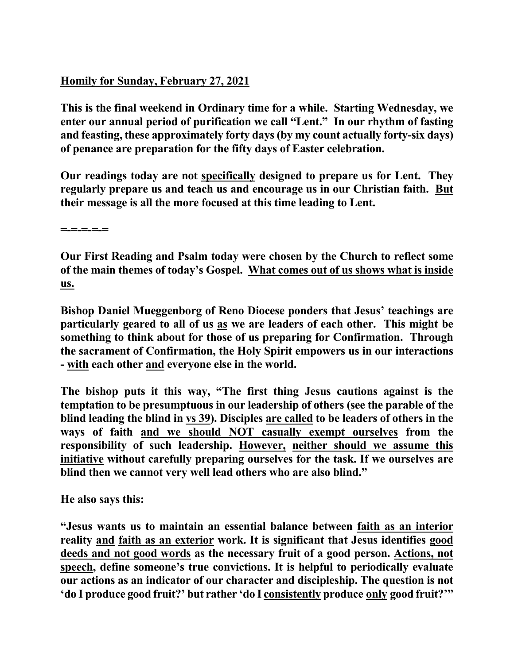## **Homily for Sunday, February 27, 2021**

**This is the final weekend in Ordinary time for a while. Starting Wednesday, we enter our annual period of purification we call "Lent." In our rhythm of fasting and feasting, these approximately forty days (by my count actually forty-six days) of penance are preparation for the fifty days of Easter celebration.** 

**Our readings today are not specifically designed to prepare us for Lent. They regularly prepare us and teach us and encourage us in our Christian faith. But their message is all the more focused at this time leading to Lent.** 

**=-=-=-=-=** 

**Our First Reading and Psalm today were chosen by the Church to reflect some of the main themes of today's Gospel. What comes out of us shows what is inside us.** 

**Bishop Daniel Mueggenborg of Reno Diocese ponders that Jesus' teachings are particularly geared to all of us as we are leaders of each other. This might be something to think about for those of us preparing for Confirmation. Through the sacrament of Confirmation, the Holy Spirit empowers us in our interactions - with each other and everyone else in the world.** 

**The bishop puts it this way, "The first thing Jesus cautions against is the temptation to be presumptuous in our leadership of others (see the parable of the blind leading the blind in vs 39). Disciples are called to be leaders of others in the ways of faith and we should NOT casually exempt ourselves from the responsibility of such leadership. However, neither should we assume this initiative without carefully preparing ourselves for the task. If we ourselves are blind then we cannot very well lead others who are also blind."** 

**He also says this:** 

**"Jesus wants us to maintain an essential balance between faith as an interior reality and faith as an exterior work. It is significant that Jesus identifies good deeds and not good words as the necessary fruit of a good person. Actions, not speech, define someone's true convictions. It is helpful to periodically evaluate our actions as an indicator of our character and discipleship. The question is not 'do I produce good fruit?' but rather 'do I consistently produce only good fruit?'"**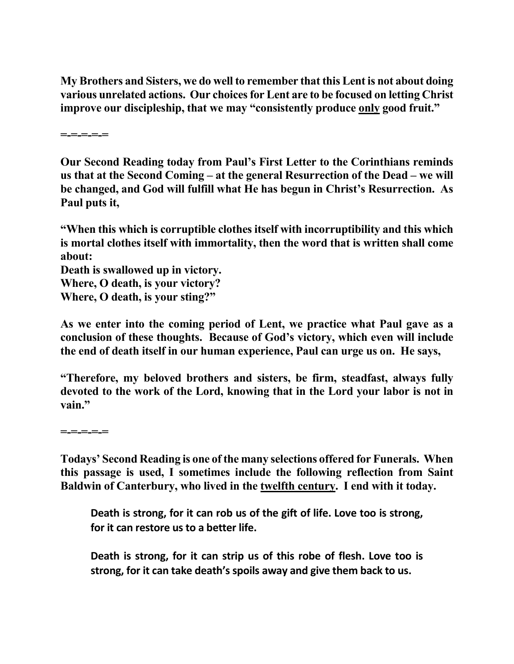**My Brothers and Sisters, we do well to remember that this Lent is not about doing various unrelated actions. Our choices for Lent are to be focused on letting Christ improve our discipleship, that we may "consistently produce only good fruit."** 

**=-=-=-=-=** 

**Our Second Reading today from Paul's First Letter to the Corinthians reminds us that at the Second Coming – at the general Resurrection of the Dead – we will be changed, and God will fulfill what He has begun in Christ's Resurrection. As Paul puts it,** 

**"When this which is corruptible clothes itself with incorruptibility and this which is mortal clothes itself with immortality, then the word that is written shall come about:** 

**Death is swallowed up in victory. Where, O death, is your victory? Where, O death, is your sting?"** 

**As we enter into the coming period of Lent, we practice what Paul gave as a conclusion of these thoughts. Because of God's victory, which even will include the end of death itself in our human experience, Paul can urge us on. He says,** 

**"Therefore, my beloved brothers and sisters, be firm, steadfast, always fully devoted to the work of the Lord, knowing that in the Lord your labor is not in vain."** 

**=-=-=-=-=** 

**Todays' Second Reading is one of the many selections offered for Funerals. When this passage is used, I sometimes include the following reflection from Saint Baldwin of Canterbury, who lived in the twelfth century. I end with it today.**

**Death is strong, for it can rob us of the gift of life. Love too is strong, for it can restore us to a better life.**

**Death is strong, for it can strip us of this robe of flesh. Love too is strong, for it can take death's spoils away and give them back to us.**